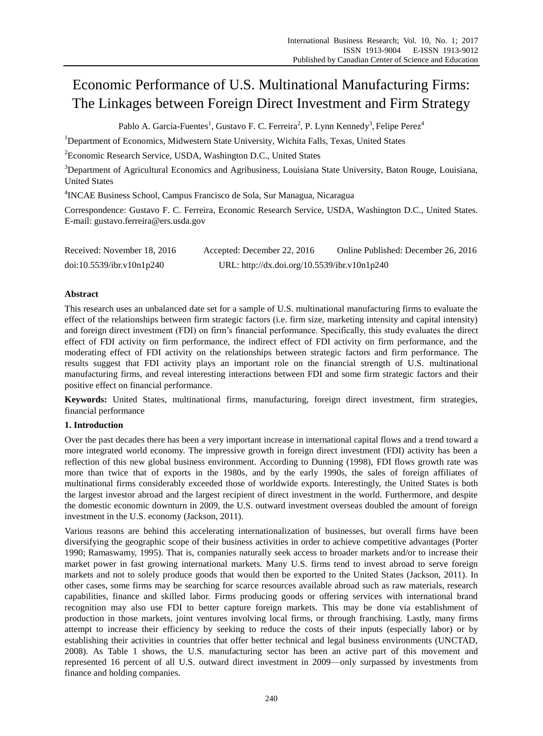# Economic Performance of U.S. Multinational Manufacturing Firms: The Linkages between Foreign Direct Investment and Firm Strategy

Pablo A. Garcia-Fuentes<sup>1</sup>, Gustavo F. C. Ferreira<sup>2</sup>, P. Lynn Kennedy<sup>3</sup>, Felipe Perez<sup>4</sup>

<sup>1</sup>Department of Economics, Midwestern State University, Wichita Falls, Texas, United States

<sup>2</sup>Economic Research Service, USDA, Washington D.C., United States

<sup>3</sup>Department of Agricultural Economics and Agribusiness, Louisiana State University, Baton Rouge, Louisiana, United States

4 INCAE Business School, Campus Francisco de Sola, Sur Managua, Nicaragua

Correspondence: Gustavo F. C. Ferreira, Economic Research Service, USDA, Washington D.C., United States. E-mail: gustavo.ferreira@ers.usda.gov

| Received: November 18, 2016 | Accepted: December 22, 2016                  | Online Published: December 26, 2016 |
|-----------------------------|----------------------------------------------|-------------------------------------|
| doi:10.5539/ibr.v10n1p240   | URL: http://dx.doi.org/10.5539/ibr.v10n1p240 |                                     |

## **Abstract**

This research uses an unbalanced date set for a sample of U.S. multinational manufacturing firms to evaluate the effect of the relationships between firm strategic factors (i.e. firm size, marketing intensity and capital intensity) and foreign direct investment (FDI) on firm's financial performance. Specifically, this study evaluates the direct effect of FDI activity on firm performance, the indirect effect of FDI activity on firm performance, and the moderating effect of FDI activity on the relationships between strategic factors and firm performance. The results suggest that FDI activity plays an important role on the financial strength of U.S. multinational manufacturing firms, and reveal interesting interactions between FDI and some firm strategic factors and their positive effect on financial performance.

**Keywords:** United States, multinational firms, manufacturing, foreign direct investment, firm strategies, financial performance

## **1. Introduction**

Over the past decades there has been a very important increase in international capital flows and a trend toward a more integrated world economy. The impressive growth in foreign direct investment (FDI) activity has been a reflection of this new global business environment. According to Dunning (1998), FDI flows growth rate was more than twice that of exports in the 1980s, and by the early 1990s, the sales of foreign affiliates of multinational firms considerably exceeded those of worldwide exports. Interestingly, the United States is both the largest investor abroad and the largest recipient of direct investment in the world. Furthermore, and despite the domestic economic downturn in 2009, the U.S. outward investment overseas doubled the amount of foreign investment in the U.S. economy (Jackson, 2011).

Various reasons are behind this accelerating internationalization of businesses, but overall firms have been diversifying the geographic scope of their business activities in order to achieve competitive advantages (Porter 1990; Ramaswamy, 1995). That is, companies naturally seek access to broader markets and/or to increase their market power in fast growing international markets. Many U.S. firms tend to invest abroad to serve foreign markets and not to solely produce goods that would then be exported to the United States (Jackson, 2011). In other cases, some firms may be searching for scarce resources available abroad such as raw materials, research capabilities, finance and skilled labor. Firms producing goods or offering services with international brand recognition may also use FDI to better capture foreign markets. This may be done via establishment of production in those markets, joint ventures involving local firms, or through franchising. Lastly, many firms attempt to increase their efficiency by seeking to reduce the costs of their inputs (especially labor) or by establishing their activities in countries that offer better technical and legal business environments (UNCTAD, 2008). As Table 1 shows, the U.S. manufacturing sector has been an active part of this movement and represented 16 percent of all U.S. outward direct investment in 2009—only surpassed by investments from finance and holding companies.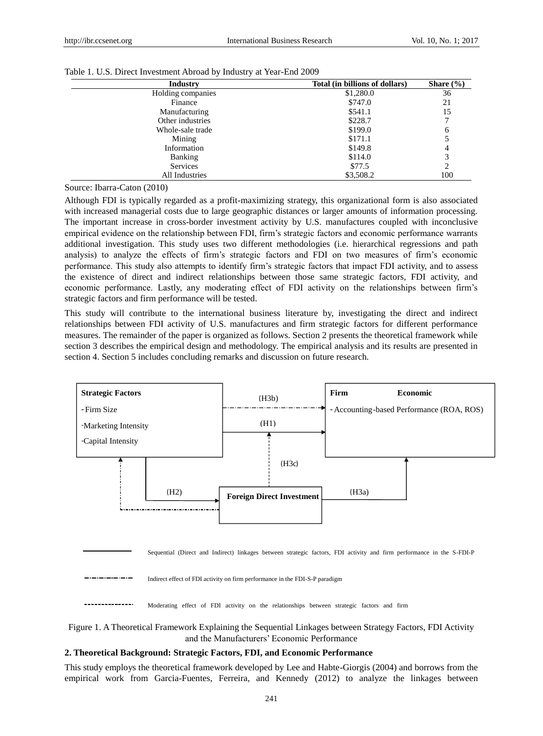| <b>Industry</b>   | Total (in billions of dollars) | Share $(\% )$ |
|-------------------|--------------------------------|---------------|
| Holding companies | \$1,280.0                      | 36            |
| Finance           | \$747.0                        | 21            |
| Manufacturing     | \$541.1                        | 15            |
| Other industries  | \$228.7                        |               |
| Whole-sale trade  | \$199.0                        | 6             |
| Mining            | \$171.1                        |               |
| Information       | \$149.8                        | 4             |
| Banking           | \$114.0                        | 3             |
| <b>Services</b>   | \$77.5                         | 2             |
| All Industries    | \$3,508.2                      | 100           |

#### Table 1. U.S. Direct Investment Abroad by Industry at Year-End 2009

Source: Ibarra-Caton (2010)

Although FDI is typically regarded as a profit-maximizing strategy, this organizational form is also associated with increased managerial costs due to large geographic distances or larger amounts of information processing. The important increase in cross-border investment activity by U.S. manufactures coupled with inconclusive empirical evidence on the relationship between FDI, firm's strategic factors and economic performance warrants additional investigation. This study uses two different methodologies (i.e. hierarchical regressions and path analysis) to analyze the effects of firm's strategic factors and FDI on two measures of firm's economic performance. This study also attempts to identify firm's strategic factors that impact FDI activity, and to assess the existence of direct and indirect relationships between those same strategic factors, FDI activity, and economic performance. Lastly, any moderating effect of FDI activity on the relationships between firm's strategic factors and firm performance will be tested.

This study will contribute to the international business literature by, investigating the direct and indirect relationships between FDI activity of U.S. manufactures and firm strategic factors for different performance measures. The remainder of the paper is organized as follows. Section 2 presents the theoretical framework while section 3 describes the empirical design and methodology. The empirical analysis and its results are presented in section 4. Section 5 includes concluding remarks and discussion on future research.



Sequential (Direct and Indirect) linkages between strategic factors, FDI activity and firm performance in the S-FDI-P

Indirect effect of FDI activity on firm performance in the FDI-S-P paradigm

Moderating effect of FDI activity on the relationships between strategic factors and firm



#### **2. Theoretical Background: Strategic Factors, FDI, and Economic Performance**

This study employs the theoretical framework developed by Lee and Habte-Giorgis (2004) and borrows from the empirical work from Garcia-Fuentes, Ferreira, and Kennedy (2012) to analyze the linkages between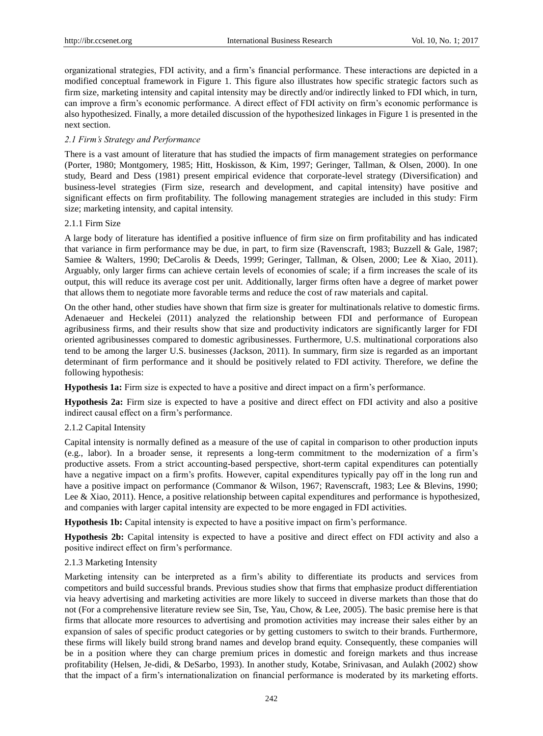organizational strategies, FDI activity, and a firm's financial performance. These interactions are depicted in a modified conceptual framework in Figure 1. This figure also illustrates how specific strategic factors such as firm size, marketing intensity and capital intensity may be directly and/or indirectly linked to FDI which, in turn, can improve a firm's economic performance. A direct effect of FDI activity on firm's economic performance is also hypothesized. Finally, a more detailed discussion of the hypothesized linkages in Figure 1 is presented in the next section.

## *2.1 Firm's Strategy and Performance*

There is a vast amount of literature that has studied the impacts of firm management strategies on performance (Porter, 1980; Montgomery, 1985; Hitt, Hoskisson, & Kim, 1997; Geringer, Tallman, & Olsen, 2000). In one study, Beard and Dess (1981) present empirical evidence that corporate-level strategy (Diversification) and business-level strategies (Firm size, research and development, and capital intensity) have positive and significant effects on firm profitability. The following management strategies are included in this study: Firm size; marketing intensity, and capital intensity.

## 2.1.1 Firm Size

A large body of literature has identified a positive influence of firm size on firm profitability and has indicated that variance in firm performance may be due, in part, to firm size (Ravenscraft, 1983; Buzzell & Gale, 1987; Samiee & Walters, 1990; DeCarolis & Deeds, 1999; Geringer, Tallman, & Olsen, 2000; Lee & Xiao, 2011). Arguably, only larger firms can achieve certain levels of economies of scale; if a firm increases the scale of its output, this will reduce its average cost per unit. Additionally, larger firms often have a degree of market power that allows them to negotiate more favorable terms and reduce the cost of raw materials and capital.

On the other hand, other studies have shown that firm size is greater for multinationals relative to domestic firms. Adenaeuer and Heckelei (2011) analyzed the relationship between FDI and performance of European agribusiness firms, and their results show that size and productivity indicators are significantly larger for FDI oriented agribusinesses compared to domestic agribusinesses. Furthermore, U.S. multinational corporations also tend to be among the larger U.S. businesses (Jackson, 2011). In summary, firm size is regarded as an important determinant of firm performance and it should be positively related to FDI activity. Therefore, we define the following hypothesis:

**Hypothesis 1a:** Firm size is expected to have a positive and direct impact on a firm's performance.

**Hypothesis 2a:** Firm size is expected to have a positive and direct effect on FDI activity and also a positive indirect causal effect on a firm's performance.

## 2.1.2 Capital Intensity

Capital intensity is normally defined as a measure of the use of capital in comparison to other production inputs (e.g., labor). In a broader sense, it represents a long-term commitment to the modernization of a firm's productive assets. From a strict accounting-based perspective, short-term capital expenditures can potentially have a negative impact on a firm's profits. However, capital expenditures typically pay off in the long run and have a positive impact on performance (Commanor & Wilson, 1967; Ravenscraft, 1983; Lee & Blevins, 1990; Lee & Xiao, 2011). Hence, a positive relationship between capital expenditures and performance is hypothesized, and companies with larger capital intensity are expected to be more engaged in FDI activities.

**Hypothesis 1b:** Capital intensity is expected to have a positive impact on firm's performance.

**Hypothesis 2b:** Capital intensity is expected to have a positive and direct effect on FDI activity and also a positive indirect effect on firm's performance.

## 2.1.3 Marketing Intensity

Marketing intensity can be interpreted as a firm's ability to differentiate its products and services from competitors and build successful brands. Previous studies show that firms that emphasize product differentiation via heavy advertising and marketing activities are more likely to succeed in diverse markets than those that do not (For a comprehensive literature review see Sin, Tse, Yau, Chow, & Lee, 2005). The basic premise here is that firms that allocate more resources to advertising and promotion activities may increase their sales either by an expansion of sales of specific product categories or by getting customers to switch to their brands. Furthermore, these firms will likely build strong brand names and develop brand equity. Consequently, these companies will be in a position where they can charge premium prices in domestic and foreign markets and thus increase profitability (Helsen, Je-didi, & DeSarbo, 1993). In another study, Kotabe, Srinivasan, and Aulakh (2002) show that the impact of a firm's internationalization on financial performance is moderated by its marketing efforts.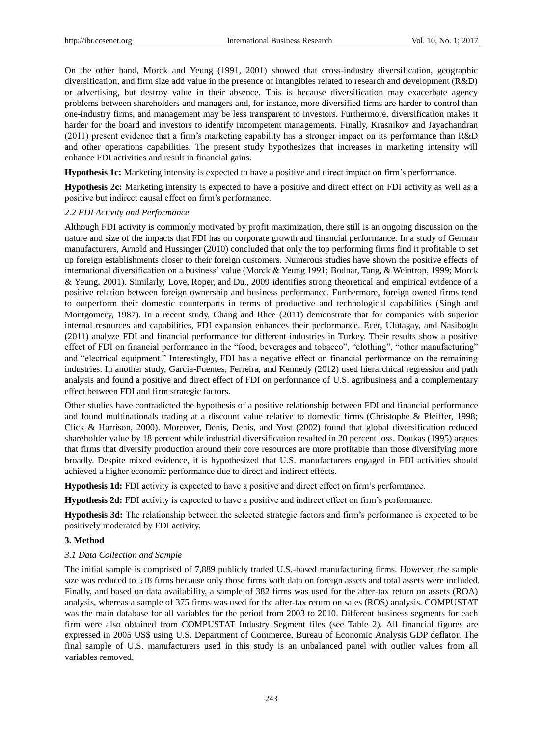On the other hand, Morck and Yeung (1991, 2001) showed that cross-industry diversification, geographic diversification, and firm size add value in the presence of intangibles related to research and development (R&D) or advertising, but destroy value in their absence. This is because diversification may exacerbate agency problems between shareholders and managers and, for instance, more diversified firms are harder to control than one-industry firms, and management may be less transparent to investors. Furthermore, diversification makes it harder for the board and investors to identify incompetent managements. Finally, Krasnikov and Jayachandran (2011) present evidence that a firm's marketing capability has a stronger impact on its performance than R&D and other operations capabilities. The present study hypothesizes that increases in marketing intensity will enhance FDI activities and result in financial gains.

**Hypothesis 1c:** Marketing intensity is expected to have a positive and direct impact on firm's performance.

**Hypothesis 2c:** Marketing intensity is expected to have a positive and direct effect on FDI activity as well as a positive but indirect causal effect on firm's performance.

#### *2.2 FDI Activity and Performance*

Although FDI activity is commonly motivated by profit maximization, there still is an ongoing discussion on the nature and size of the impacts that FDI has on corporate growth and financial performance. In a study of German manufacturers, Arnold and Hussinger (2010) concluded that only the top performing firms find it profitable to set up foreign establishments closer to their foreign customers. Numerous studies have shown the positive effects of international diversification on a business' value (Morck & Yeung 1991; Bodnar, Tang, & Weintrop*,* 1999; Morck & Yeung, 2001). Similarly, Love, Roper, and Du., 2009 identifies strong theoretical and empirical evidence of a positive relation between foreign ownership and business performance. Furthermore, foreign owned firms tend to outperform their domestic counterparts in terms of productive and technological capabilities (Singh and Montgomery, 1987). In a recent study, Chang and Rhee (2011) demonstrate that for companies with superior internal resources and capabilities, FDI expansion enhances their performance. Ecer, Ulutagay, and Nasiboglu (2011) analyze FDI and financial performance for different industries in Turkey. Their results show a positive effect of FDI on financial performance in the "food, beverages and tobacco", "clothing", "other manufacturing" and "electrical equipment." Interestingly, FDI has a negative effect on financial performance on the remaining industries. In another study, Garcia-Fuentes, Ferreira, and Kennedy (2012) used hierarchical regression and path analysis and found a positive and direct effect of FDI on performance of U.S. agribusiness and a complementary effect between FDI and firm strategic factors.

Other studies have contradicted the hypothesis of a positive relationship between FDI and financial performance and found multinationals trading at a discount value relative to domestic firms (Christophe & Pfeiffer, 1998; Click & Harrison, 2000). Moreover, Denis, Denis, and Yost (2002) found that global diversification reduced shareholder value by 18 percent while industrial diversification resulted in 20 percent loss. Doukas (1995) argues that firms that diversify production around their core resources are more profitable than those diversifying more broadly. Despite mixed evidence, it is hypothesized that U.S. manufacturers engaged in FDI activities should achieved a higher economic performance due to direct and indirect effects.

**Hypothesis 1d:** FDI activity is expected to have a positive and direct effect on firm's performance.

**Hypothesis 2d:** FDI activity is expected to have a positive and indirect effect on firm's performance.

**Hypothesis 3d:** The relationship between the selected strategic factors and firm's performance is expected to be positively moderated by FDI activity.

#### **3. Method**

#### *3.1 Data Collection and Sample*

The initial sample is comprised of 7,889 publicly traded U.S.-based manufacturing firms. However, the sample size was reduced to 518 firms because only those firms with data on foreign assets and total assets were included. Finally, and based on data availability, a sample of 382 firms was used for the after-tax return on assets (ROA) analysis, whereas a sample of 375 firms was used for the after-tax return on sales (ROS) analysis. COMPUSTAT was the main database for all variables for the period from 2003 to 2010. Different business segments for each firm were also obtained from COMPUSTAT Industry Segment files (see Table 2). All financial figures are expressed in 2005 US\$ using U.S. Department of Commerce, Bureau of Economic Analysis GDP deflator. The final sample of U.S. manufacturers used in this study is an unbalanced panel with outlier values from all variables removed.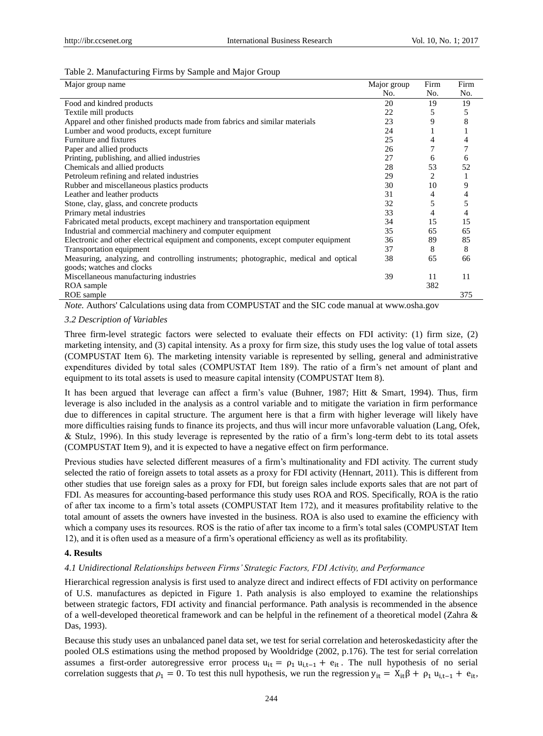#### Table 2. Manufacturing Firms by Sample and Major Group

| Major group name                                                                     | Major group | Firm | Firm |
|--------------------------------------------------------------------------------------|-------------|------|------|
|                                                                                      | No.         | No.  | No.  |
| Food and kindred products                                                            | 20          | 19   | 19   |
| Textile mill products                                                                | 22          | 5    | 5    |
| Apparel and other finished products made from fabrics and similar materials          | 23          | 9    | 8    |
| Lumber and wood products, except furniture                                           | 24          |      |      |
| Furniture and fixtures                                                               | 25          | 4    | 4    |
| Paper and allied products                                                            | 26          |      |      |
| Printing, publishing, and allied industries                                          | 27          | 6    | 6    |
| Chemicals and allied products                                                        | 28          | 53   | 52   |
| Petroleum refining and related industries                                            | 29          | 2    |      |
| Rubber and miscellaneous plastics products                                           | 30          | 10   | 9    |
| Leather and leather products                                                         | 31          | 4    | 4    |
| Stone, clay, glass, and concrete products                                            | 32          | 5    | 5    |
| Primary metal industries                                                             | 33          | 4    | 4    |
| Fabricated metal products, except machinery and transportation equipment             | 34          | 15   | 15   |
| Industrial and commercial machinery and computer equipment                           | 35          | 65   | 65   |
| Electronic and other electrical equipment and components, except computer equipment  | 36          | 89   | 85   |
| Transportation equipment                                                             | 37          | 8    | 8    |
| Measuring, analyzing, and controlling instruments; photographic, medical and optical | 38          | 65   | 66   |
| goods; watches and clocks                                                            |             |      |      |
| Miscellaneous manufacturing industries                                               | 39          | 11   | 11   |
| ROA sample                                                                           |             | 382  |      |
| ROE sample                                                                           |             |      | 375  |

*Note.* Authors' Calculations using data from COMPUSTAT and the SIC code manual at www.osha.gov

### *3.2 Description of Variables*

Three firm-level strategic factors were selected to evaluate their effects on FDI activity: (1) firm size, (2) marketing intensity, and (3) capital intensity. As a proxy for firm size, this study uses the log value of total assets (COMPUSTAT Item 6). The marketing intensity variable is represented by selling, general and administrative expenditures divided by total sales (COMPUSTAT Item 189). The ratio of a firm's net amount of plant and equipment to its total assets is used to measure capital intensity (COMPUSTAT Item 8).

It has been argued that leverage can affect a firm's value (Buhner, 1987; Hitt & Smart, 1994). Thus, firm leverage is also included in the analysis as a control variable and to mitigate the variation in firm performance due to differences in capital structure. The argument here is that a firm with higher leverage will likely have more difficulties raising funds to finance its projects, and thus will incur more unfavorable valuation (Lang, Ofek, & Stulz, 1996). In this study leverage is represented by the ratio of a firm's long-term debt to its total assets (COMPUSTAT Item 9), and it is expected to have a negative effect on firm performance.

Previous studies have selected different measures of a firm's multinationality and FDI activity. The current study selected the ratio of foreign assets to total assets as a proxy for FDI activity (Hennart, 2011). This is different from other studies that use foreign sales as a proxy for FDI, but foreign sales include exports sales that are not part of FDI. As measures for accounting-based performance this study uses ROA and ROS. Specifically, ROA is the ratio of after tax income to a firm's total assets (COMPUSTAT Item 172), and it measures profitability relative to the total amount of assets the owners have invested in the business. ROA is also used to examine the efficiency with which a company uses its resources. ROS is the ratio of after tax income to a firm's total sales (COMPUSTAT Item 12), and it is often used as a measure of a firm's operational efficiency as well as its profitability.

#### **4. Results**

#### *4.1 Unidirectional Relationships between Firms' Strategic Factors, FDI Activity, and Performance*

Hierarchical regression analysis is first used to analyze direct and indirect effects of FDI activity on performance of U.S. manufactures as depicted in Figure 1. Path analysis is also employed to examine the relationships between strategic factors, FDI activity and financial performance. Path analysis is recommended in the absence of a well-developed theoretical framework and can be helpful in the refinement of a theoretical model (Zahra & Das, 1993).

Because this study uses an unbalanced panel data set, we test for serial correlation and heteroskedasticity after the pooled OLS estimations using the method proposed by Wooldridge (2002, p.176). The test for serial correlation assumes a first-order autoregressive error process  $u_{it} = \rho_1 u_{i,t-1} + e_{it}$ . The null hypothesis of no serial correlation suggests that  $\rho_1 = 0$ . To test this null hypothesis, we run the regression  $y_{it} = X_{it} \beta + \rho_1 u_{it-1} + e_{it}$ ,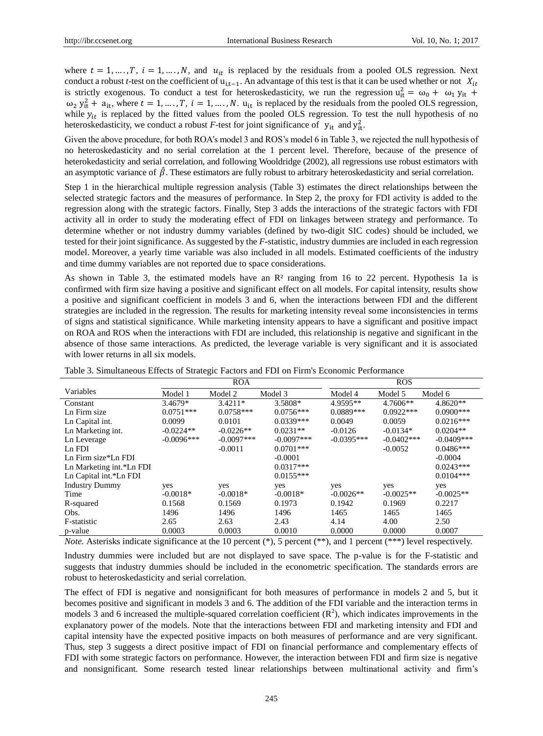where  $t = 1, ..., T$ ,  $i = 1, ..., N$ , and  $u_{it}$  is replaced by the residuals from a pooled OLS regression. Next conduct a robust *t*-test on the coefficient of u<sub>i,t−1</sub>. An advantage of this test is that it can be used whether or not  $X_{it}$ is strictly exogenous. To conduct a test for heteroskedasticity, we run the regression  $u_{it}^2 = \omega_0 + \omega_1 y_{it} +$  $\omega_2$   $y_{it}^2$  +  $a_{it}$ , where  $t = 1, ..., T$ ,  $i = 1, ..., N$ .  $u_{it}$  is replaced by the residuals from the pooled OLS regression, while  $y_{it}$  is replaced by the fitted values from the pooled OLS regression. To test the null hypothesis of no heteroskedasticity, we conduct a robust *F*-test for joint significance of  $y_{it}$  and  $y_{it}^2$ .

Given the above procedure, for both ROA's model 3 and ROS's model 6 in Table 3, we rejected the null hypothesis of no heteroskedasticity and no serial correlation at the 1 percent level. Therefore, because of the presence of heterokedasticity and serial correlation, and following Wooldridge (2002), all regressions use robust estimators with an asymptotic variance of  $\hat{\beta}$ . These estimators are fully robust to arbitrary heteroskedasticity and serial correlation.

Step 1 in the hierarchical multiple regression analysis (Table 3) estimates the direct relationships between the selected strategic factors and the measures of performance. In Step 2, the proxy for FDI activity is added to the regression along with the strategic factors. Finally, Step 3 adds the interactions of the strategic factors with FDI activity all in order to study the moderating effect of FDI on linkages between strategy and performance. To determine whether or not industry dummy variables (defined by two-digit SIC codes) should be included, we tested for their joint significance. As suggested by the *F*-statistic, industry dummies are included in each regression model. Moreover, a yearly time variable was also included in all models. Estimated coefficients of the industry and time dummy variables are not reported due to space considerations.

As shown in Table 3, the estimated models have an  $\mathbb{R}^2$  ranging from 16 to 22 percent. Hypothesis 1a is confirmed with firm size having a positive and significant effect on all models. For capital intensity, results show a positive and significant coefficient in models 3 and 6, when the interactions between FDI and the different strategies are included in the regression. The results for marketing intensity reveal some inconsistencies in terms of signs and statistical significance. While marketing intensity appears to have a significant and positive impact on ROA and ROS when the interactions with FDI are included, this relationship is negative and significant in the absence of those same interactions. As predicted, the leverage variable is very significant and it is associated with lower returns in all six models.

|                          | <b>ROA</b>   |              |               | <b>ROS</b>   |               |               |
|--------------------------|--------------|--------------|---------------|--------------|---------------|---------------|
| Variables                | Model 1      | Model 2      | Model 3       | Model 4      | Model 5       | Model 6       |
| Constant                 | 3.4679*      | $3.4211*$    | 3.5808*       | 4.9595**     | $4.7606**$    | $4.8620**$    |
| Ln Firm size             | $0.0751***$  | $0.0758***$  | $0.0756***$   | $0.0889***$  | $0.0922***$   | $0.0900$ ***  |
| Ln Capital int.          | 0.0099       | 0.0101       | $0.0339***$   | 0.0049       | 0.0059        | $0.0216***$   |
| Ln Marketing int.        | $-0.0224**$  | $-0.0226**$  | $0.0231**$    | $-0.0126$    | $-0.0134*$    | $0.0204**$    |
| Ln Leverage              | $-0.0096***$ | $-0.0097***$ | $-0.0097$ *** | $-0.0395***$ | $-0.0402$ *** | $-0.0409$ *** |
| Ln FDI                   |              | $-0.0011$    | $0.0701$ ***  |              | $-0.0052$     | $0.0486***$   |
| Ln Firm size*Ln FDI      |              |              | $-0.0001$     |              |               | $-0.0004$     |
| Ln Marketing int.*Ln FDI |              |              | $0.0317***$   |              |               | $0.0243***$   |
| Ln Capital int.*Ln FDI   |              |              | $0.0155***$   |              |               | $0.0104***$   |
| <b>Industry Dummy</b>    | yes          | yes          | yes           | yes          | yes           | yes           |
| Time                     | $-0.0018*$   | $-0.0018*$   | $-0.0018*$    | $-0.0026**$  | $-0.0025**$   | $-0.0025**$   |
| R-squared                | 0.1568       | 0.1569       | 0.1973        | 0.1942       | 0.1969        | 0.2217        |
| Obs.                     | 1496         | 1496         | 1496          | 1465         | 1465          | 1465          |
| F-statistic              | 2.65         | 2.63         | 2.43          | 4.14         | 4.00          | 2.50          |
| p-value                  | 0.0003       | 0.0003       | 0.0010        | 0.0000       | 0.0000        | 0.0007        |

Table 3. Simultaneous Effects of Strategic Factors and FDI on Firm's Economic Performance

*Note.* Asterisks indicate significance at the 10 percent (\*), 5 percent (\*\*), and 1 percent (\*\*\*) level respectively.

Industry dummies were included but are not displayed to save space. The p-value is for the F-statistic and suggests that industry dummies should be included in the econometric specification. The standards errors are robust to heteroskedasticity and serial correlation.

The effect of FDI is negative and nonsignificant for both measures of performance in models 2 and 5, but it becomes positive and significant in models 3 and 6. The addition of the FDI variable and the interaction terms in models 3 and 6 increased the multiple-squared correlation coefficient  $(R^2)$ , which indicates improvements in the explanatory power of the models. Note that the interactions between FDI and marketing intensity and FDI and capital intensity have the expected positive impacts on both measures of performance and are very significant. Thus, step 3 suggests a direct positive impact of FDI on financial performance and complementary effects of FDI with some strategic factors on performance. However, the interaction between FDI and firm size is negative and nonsignificant. Some research tested linear relationships between multinational activity and firm's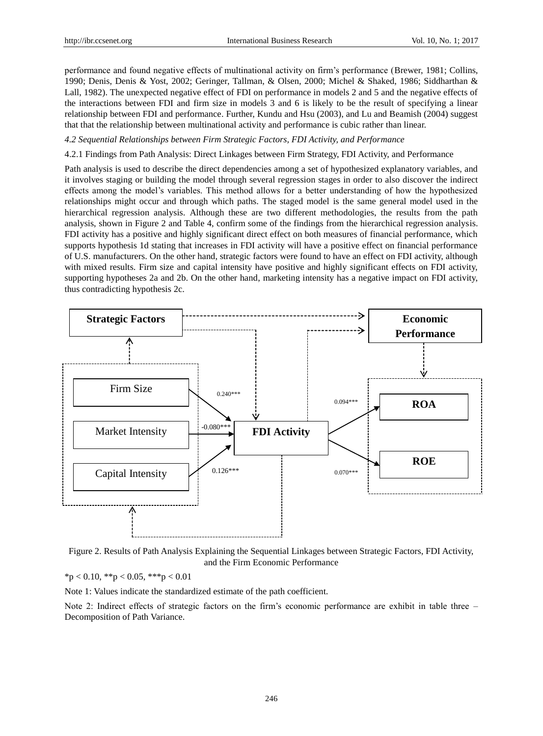performance and found negative effects of multinational activity on firm's performance (Brewer, 1981; Collins, 1990; Denis, Denis & Yost, 2002; Geringer, Tallman, & Olsen, 2000; Michel & Shaked, 1986; Siddharthan & Lall, 1982). The unexpected negative effect of FDI on performance in models 2 and 5 and the negative effects of the interactions between FDI and firm size in models 3 and 6 is likely to be the result of specifying a linear relationship between FDI and performance. Further, Kundu and Hsu (2003), and Lu and Beamish (2004) suggest that that the relationship between multinational activity and performance is cubic rather than linear.

#### *4.2 Sequential Relationships between Firm Strategic Factors, FDI Activity, and Performance*

4.2.1 Findings from Path Analysis: Direct Linkages between Firm Strategy, FDI Activity, and Performance

Path analysis is used to describe the direct dependencies among a set of hypothesized explanatory variables, and it involves staging or building the model through several regression stages in order to also discover the indirect effects among the model's variables. This method allows for a better understanding of how the hypothesized relationships might occur and through which paths. The staged model is the same general model used in the hierarchical regression analysis. Although these are two different methodologies, the results from the path analysis, shown in Figure 2 and Table 4, confirm some of the findings from the hierarchical regression analysis. FDI activity has a positive and highly significant direct effect on both measures of financial performance, which supports hypothesis 1d stating that increases in FDI activity will have a positive effect on financial performance of U.S. manufacturers. On the other hand, strategic factors were found to have an effect on FDI activity, although with mixed results. Firm size and capital intensity have positive and highly significant effects on FDI activity, supporting hypotheses 2a and 2b. On the other hand, marketing intensity has a negative impact on FDI activity, thus contradicting hypothesis 2c.



Figure 2. Results of Path Analysis Explaining the Sequential Linkages between Strategic Factors, FDI Activity, and the Firm Economic Performance

 $*p < 0.10, **p < 0.05, **p < 0.01$ 

Note 1: Values indicate the standardized estimate of the path coefficient.

Note 2: Indirect effects of strategic factors on the firm's economic performance are exhibit in table three – Decomposition of Path Variance.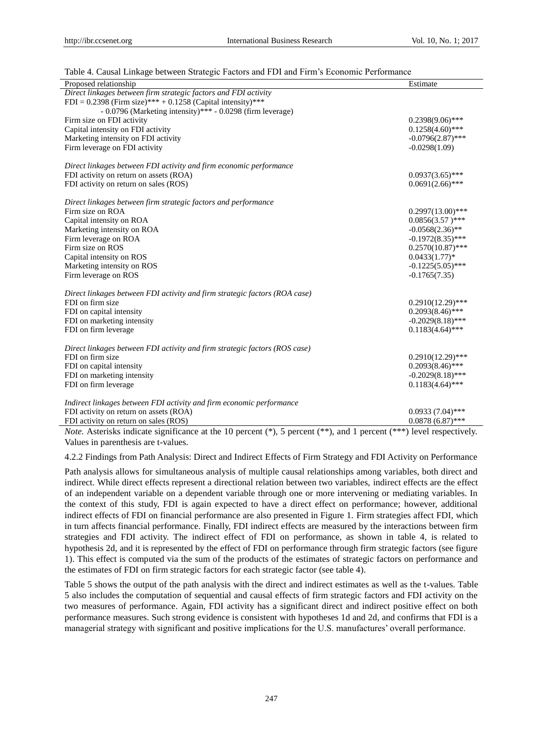|  |  | Table 4. Causal Linkage between Strategic Factors and FDI and Firm's Economic Performance |
|--|--|-------------------------------------------------------------------------------------------|
|  |  |                                                                                           |

| Proposed relationship                                                                          | Estimate            |
|------------------------------------------------------------------------------------------------|---------------------|
| Direct linkages between firm strategic factors and FDI activity                                |                     |
| FDI = 0.2398 (Firm size)*** + 0.1258 (Capital intensity)***                                    |                     |
| $-0.0796$ (Marketing intensity)*** $-0.0298$ (firm leverage)                                   |                     |
| Firm size on FDI activity                                                                      | $0.2398(9.06)$ ***  |
| Capital intensity on FDI activity                                                              | $0.1258(4.60)$ ***  |
| Marketing intensity on FDI activity                                                            | $-0.0796(2.87)$ *** |
| Firm leverage on FDI activity                                                                  | $-0.0298(1.09)$     |
|                                                                                                |                     |
| Direct linkages between FDI activity and firm economic performance                             |                     |
| FDI activity on return on assets (ROA)                                                         | $0.0937(3.65)$ ***  |
| FDI activity on return on sales (ROS)                                                          | $0.0691(2.66)$ ***  |
|                                                                                                |                     |
| Direct linkages between firm strategic factors and performance                                 |                     |
| Firm size on ROA                                                                               | $0.2997(13.00)$ *** |
| Capital intensity on ROA                                                                       | $0.0856(3.57)$ ***  |
| Marketing intensity on ROA                                                                     | $-0.0568(2.36)$ **  |
| Firm leverage on ROA                                                                           | $-0.1972(8.35)$ *** |
| Firm size on ROS                                                                               | $0.2570(10.87)$ *** |
| Capital intensity on ROS                                                                       | $0.0433(1.77)*$     |
| Marketing intensity on ROS                                                                     | $-0.1225(5.05)$ *** |
| Firm leverage on ROS                                                                           | $-0.1765(7.35)$     |
|                                                                                                |                     |
| Direct linkages between FDI activity and firm strategic factors (ROA case)<br>FDI on firm size | $0.2910(12.29)$ *** |
| FDI on capital intensity                                                                       | $0.2093(8.46)$ ***  |
| FDI on marketing intensity                                                                     | $-0.2029(8.18)$ *** |
| FDI on firm leverage                                                                           | $0.1183(4.64)$ ***  |
|                                                                                                |                     |
| Direct linkages between FDI activity and firm strategic factors (ROS case)                     |                     |
| FDI on firm size                                                                               | $0.2910(12.29)$ *** |
| FDI on capital intensity                                                                       | $0.2093(8.46)$ ***  |
| FDI on marketing intensity                                                                     | $-0.2029(8.18)$ *** |
| FDI on firm leverage                                                                           | $0.1183(4.64)$ ***  |
|                                                                                                |                     |
| Indirect linkages between FDI activity and firm economic performance                           |                     |
| FDI activity on return on assets (ROA)                                                         | $0.0933(7.04)$ ***  |
| FDI activity on return on sales (ROS)                                                          | $0.0878(6.87)$ ***  |

*Note.* Asterisks indicate significance at the 10 percent (\*), 5 percent (\*\*), and 1 percent (\*\*\*) level respectively. Values in parenthesis are t-values.

4.2.2 Findings from Path Analysis: Direct and Indirect Effects of Firm Strategy and FDI Activity on Performance

Path analysis allows for simultaneous analysis of multiple causal relationships among variables, both direct and indirect. While direct effects represent a directional relation between two variables, indirect effects are the effect of an independent variable on a dependent variable through one or more intervening or mediating variables. In the context of this study, FDI is again expected to have a direct effect on performance; however, additional indirect effects of FDI on financial performance are also presented in Figure 1. Firm strategies affect FDI, which in turn affects financial performance. Finally, FDI indirect effects are measured by the interactions between firm strategies and FDI activity. The indirect effect of FDI on performance, as shown in table 4, is related to hypothesis 2d, and it is represented by the effect of FDI on performance through firm strategic factors (see figure 1). This effect is computed via the sum of the products of the estimates of strategic factors on performance and the estimates of FDI on firm strategic factors for each strategic factor (see table 4).

Table 5 shows the output of the path analysis with the direct and indirect estimates as well as the t-values. Table 5 also includes the computation of sequential and causal effects of firm strategic factors and FDI activity on the two measures of performance. Again, FDI activity has a significant direct and indirect positive effect on both performance measures. Such strong evidence is consistent with hypotheses 1d and 2d, and confirms that FDI is a managerial strategy with significant and positive implications for the U.S. manufactures' overall performance.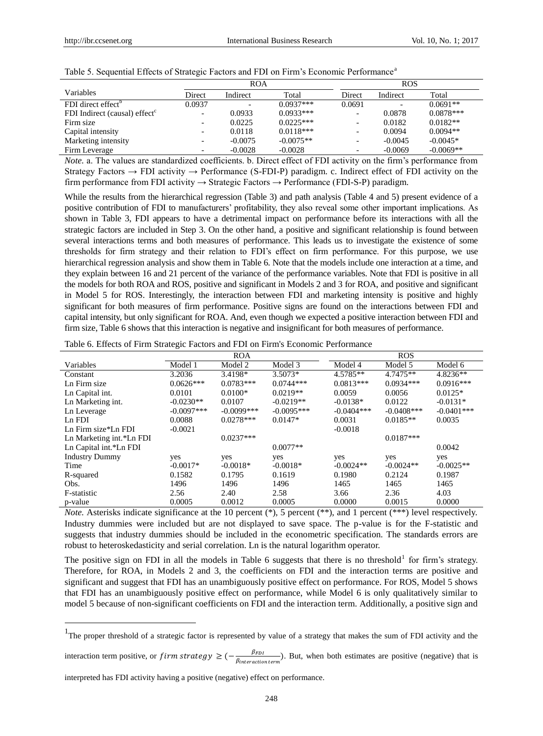|                                           | <b>ROA</b>               |                          |             | <b>ROS</b>               |                          |             |
|-------------------------------------------|--------------------------|--------------------------|-------------|--------------------------|--------------------------|-------------|
| Variables                                 | Direct                   | Indirect                 | Total       | Direct                   | Indirect                 | Total       |
| FDI direct effect <sup>b</sup>            | 0.0937                   | $\overline{\phantom{0}}$ | $0.0937***$ | 0.0691                   | $\overline{\phantom{a}}$ | $0.0691**$  |
| FDI Indirect (causal) effect <sup>c</sup> | $\overline{\phantom{0}}$ | 0.0933                   | $0.0933***$ | $\overline{\phantom{a}}$ | 0.0878                   | $0.0878***$ |
| Firm size                                 | -                        | 0.0225                   | $0.0225***$ | $\overline{\phantom{a}}$ | 0.0182                   | $0.0182**$  |
| Capital intensity                         | $\overline{\phantom{0}}$ | 0.0118                   | $0.0118***$ | $\overline{\phantom{0}}$ | 0.0094                   | $0.0094**$  |
| Marketing intensity                       | $\overline{\phantom{0}}$ | $-0.0075$                | $-0.0075**$ | $\overline{\phantom{0}}$ | $-0.0045$                | $-0.0045*$  |
| Firm Leverage                             | -                        | $-0.0028$                | $-0.0028$   | $\overline{\phantom{0}}$ | $-0.0069$                | $-0.0069**$ |

|  |  |  |  | Table 5. Sequential Effects of Strategic Factors and FDI on Firm's Economic Performance <sup>a</sup> |
|--|--|--|--|------------------------------------------------------------------------------------------------------|
|  |  |  |  |                                                                                                      |

*Note.* a. The values are standardized coefficients. b. Direct effect of FDI activity on the firm's performance from Strategy Factors  $\rightarrow$  FDI activity  $\rightarrow$  Performance (S-FDI-P) paradigm. c. Indirect effect of FDI activity on the firm performance from FDI activity  $\rightarrow$  Strategic Factors  $\rightarrow$  Performance (FDI-S-P) paradigm.

While the results from the hierarchical regression (Table 3) and path analysis (Table 4 and 5) present evidence of a positive contribution of FDI to manufacturers' profitability, they also reveal some other important implications. As shown in Table 3, FDI appears to have a detrimental impact on performance before its interactions with all the strategic factors are included in Step 3. On the other hand, a positive and significant relationship is found between several interactions terms and both measures of performance. This leads us to investigate the existence of some thresholds for firm strategy and their relation to FDI's effect on firm performance. For this purpose, we use hierarchical regression analysis and show them in Table 6. Note that the models include one interaction at a time, and they explain between 16 and 21 percent of the variance of the performance variables. Note that FDI is positive in all the models for both ROA and ROS, positive and significant in Models 2 and 3 for ROA, and positive and significant in Model 5 for ROS. Interestingly, the interaction between FDI and marketing intensity is positive and highly significant for both measures of firm performance. Positive signs are found on the interactions between FDI and capital intensity, but only significant for ROA. And, even though we expected a positive interaction between FDI and firm size, Table 6 shows that this interaction is negative and insignificant for both measures of performance.

|                          | <b>ROA</b>    |               |              | <b>ROS</b>   |              |               |
|--------------------------|---------------|---------------|--------------|--------------|--------------|---------------|
| Variables                | Model 1       | Model 2       | Model 3      | Model 4      | Model 5      | Model 6       |
| Constant                 | 3.2036        | 3.4198*       | $3.5073*$    | 4.5785**     | 4.7475**     | 4.8236**      |
| Ln Firm size             | $0.0626***$   | $0.0783***$   | $0.0744***$  | $0.0813***$  | $0.0934***$  | $0.0916***$   |
| Ln Capital int.          | 0.0101        | $0.0100*$     | $0.0219**$   | 0.0059       | 0.0056       | $0.0125*$     |
| Ln Marketing int.        | $-0.0230**$   | 0.0107        | $-0.0219**$  | $-0.0138*$   | 0.0122       | $-0.0131*$    |
| Ln Leverage              | $-0.0097$ *** | $-0.0099$ *** | $-0.0095***$ | $-0.0404***$ | $-0.0408***$ | $-0.0401$ *** |
| Ln FDI                   | 0.0088        | $0.0278***$   | $0.0147*$    | 0.0031       | $0.0185**$   | 0.0035        |
| Ln Firm size*Ln FDI      | $-0.0021$     |               |              | $-0.0018$    |              |               |
| Ln Marketing int.*Ln FDI |               | $0.0237***$   |              |              | $0.0187***$  |               |
| Ln Capital int.*Ln FDI   |               |               | $0.0077**$   |              |              | 0.0042        |
| <b>Industry Dummy</b>    | yes           | yes           | yes          | yes          | yes          | yes           |
| Time                     | $-0.0017*$    | $-0.0018*$    | $-0.0018*$   | $-0.0024**$  | $-0.0024**$  | $-0.0025**$   |
| R-squared                | 0.1582        | 0.1795        | 0.1619       | 0.1980       | 0.2124       | 0.1987        |
| Obs.                     | 1496          | 1496          | 1496         | 1465         | 1465         | 1465          |
| F-statistic              | 2.56          | 2.40          | 2.58         | 3.66         | 2.36         | 4.03          |
| p-value                  | 0.0005        | 0.0012        | 0.0005       | 0.0000       | 0.0015       | 0.0000        |

Table 6. Effects of Firm Strategic Factors and FDI on Firm's Economic Performance

*Note.* Asterisks indicate significance at the 10 percent  $(*)$ , 5 percent  $(**)$ , and 1 percent  $(***)$  level respectively. Industry dummies were included but are not displayed to save space. The p-value is for the F-statistic and suggests that industry dummies should be included in the econometric specification. The standards errors are robust to heteroskedasticity and serial correlation. Ln is the natural logarithm operator.

The positive sign on FDI in all the models in Table 6 suggests that there is no threshold<sup>1</sup> for firm's strategy. Therefore, for ROA, in Models 2 and 3, the coefficients on FDI and the interaction terms are positive and significant and suggest that FDI has an unambiguously positive effect on performance. For ROS, Model 5 shows that FDI has an unambiguously positive effect on performance, while Model 6 is only qualitatively similar to model 5 because of non-significant coefficients on FDI and the interaction term. Additionally, a positive sign and

interaction term positive, or firm strategy  $\geq$  (- $\frac{\beta}{\alpha}$ )  $\frac{PFDI}{\beta_{interaction term}}$ ). But, when both estimates are positive (negative) that is

interpreted has FDI activity having a positive (negative) effect on performance.

 $\overline{a}$ 

<sup>&</sup>lt;sup>1</sup>The proper threshold of a strategic factor is represented by value of a strategy that makes the sum of FDI activity and the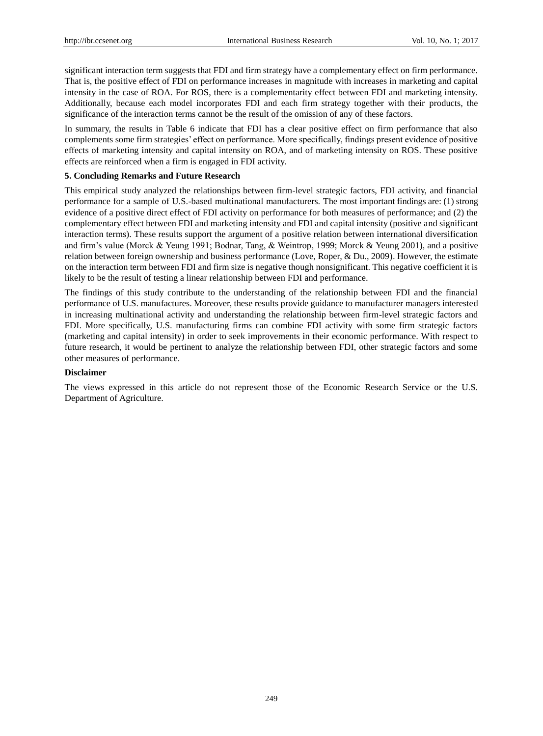significant interaction term suggests that FDI and firm strategy have a complementary effect on firm performance. That is, the positive effect of FDI on performance increases in magnitude with increases in marketing and capital intensity in the case of ROA. For ROS, there is a complementarity effect between FDI and marketing intensity. Additionally, because each model incorporates FDI and each firm strategy together with their products, the significance of the interaction terms cannot be the result of the omission of any of these factors.

In summary, the results in Table 6 indicate that FDI has a clear positive effect on firm performance that also complements some firm strategies' effect on performance. More specifically, findings present evidence of positive effects of marketing intensity and capital intensity on ROA, and of marketing intensity on ROS. These positive effects are reinforced when a firm is engaged in FDI activity.

## **5. Concluding Remarks and Future Research**

This empirical study analyzed the relationships between firm-level strategic factors, FDI activity, and financial performance for a sample of U.S.-based multinational manufacturers. The most important findings are: (1) strong evidence of a positive direct effect of FDI activity on performance for both measures of performance; and (2) the complementary effect between FDI and marketing intensity and FDI and capital intensity (positive and significant interaction terms). These results support the argument of a positive relation between international diversification and firm's value (Morck & Yeung 1991; Bodnar, Tang, & Weintrop*,* 1999; Morck & Yeung 2001), and a positive relation between foreign ownership and business performance (Love, Roper, & Du., 2009). However, the estimate on the interaction term between FDI and firm size is negative though nonsignificant. This negative coefficient it is likely to be the result of testing a linear relationship between FDI and performance.

The findings of this study contribute to the understanding of the relationship between FDI and the financial performance of U.S. manufactures. Moreover, these results provide guidance to manufacturer managers interested in increasing multinational activity and understanding the relationship between firm-level strategic factors and FDI. More specifically, U.S. manufacturing firms can combine FDI activity with some firm strategic factors (marketing and capital intensity) in order to seek improvements in their economic performance. With respect to future research, it would be pertinent to analyze the relationship between FDI, other strategic factors and some other measures of performance.

#### **Disclaimer**

The views expressed in this article do not represent those of the Economic Research Service or the U.S. Department of Agriculture.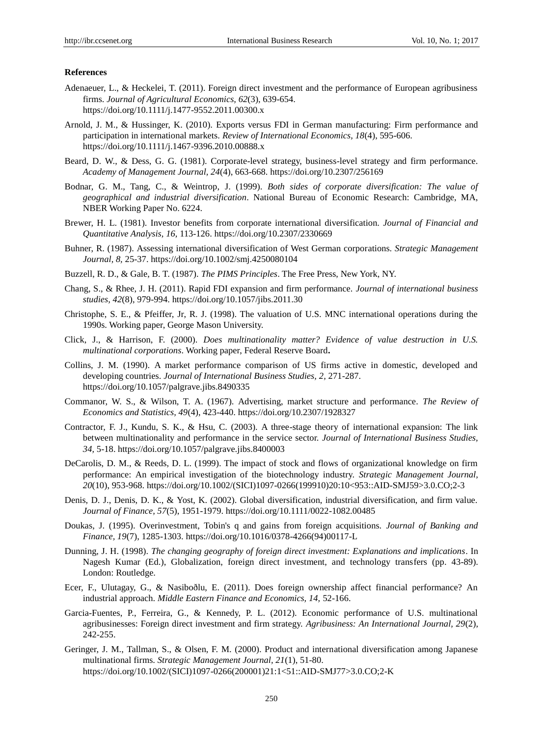#### **References**

- Adenaeuer, L., & Heckelei, T. (2011). Foreign direct investment and the performance of European agribusiness firms. *Journal of Agricultural Economics, 62*(3), 639-654. <https://doi.org/10.1111/j.1477-9552.2011.00300.x>
- Arnold, J. M., & Hussinger, K. (2010). Exports versus FDI in German manufacturing: Firm performance and participation in international markets. *Review of International Economics, 18*(4), 595-606. <https://doi.org/10.1111/j.1467-9396.2010.00888.x>
- Beard, D. W., & Dess, G. G. (1981). Corporate-level strategy, business-level strategy and firm performance. *Academy of Management Journal, 24*(4), 663-668.<https://doi.org/10.2307/256169>
- Bodnar, G. M., Tang, C., & Weintrop, J. (1999). *Both sides of corporate diversification: The value of geographical and industrial diversification*. National Bureau of Economic Research: Cambridge, MA, NBER Working Paper No. 6224.
- Brewer, H. L. (1981). Investor benefits from corporate international diversification. *Journal of Financial and Quantitative Analysis, 16,* 113-126.<https://doi.org/10.2307/2330669>
- Buhner, R. (1987). Assessing international diversification of West German corporations. *Strategic Management Journal, 8,* 25-37[. https://doi.org/10.1002/smj.4250080104](https://doi.org/10.1002/smj.4250080104)
- Buzzell, R. D., & Gale, B. T. (1987). *The PIMS Principles*. The Free Press, New York, NY.
- Chang, S., & Rhee, J. H. (2011). Rapid FDI expansion and firm performance. *Journal of international business studies, 42*(8), 979-994[. https://doi.org/10.1057/jibs.2011.30](https://doi.org/10.1057/jibs.2011.30)
- Christophe, S. E., & Pfeiffer, Jr, R. J. (1998). The valuation of U.S. MNC international operations during the 1990s. Working paper, George Mason University.
- Click, J., & Harrison, F. (2000). *Does multinationality matter? Evidence of value destruction in U.S. multinational corporations*. Working paper, Federal Reserve Board**.**
- Collins, J. M. (1990). A market performance comparison of US firms active in domestic, developed and developing countries. *Journal of International Business Studies, 2,* 271-287. <https://doi.org/10.1057/palgrave.jibs.8490335>
- Commanor, W. S., & Wilson, T. A. (1967). Advertising, market structure and performance. *The Review of Economics and Statistics, 49*(4), 423-440.<https://doi.org/10.2307/1928327>
- Contractor, F. J., Kundu, S. K., & Hsu, C. (2003). A three-stage theory of international expansion: The link between multinationality and performance in the service sector. *Journal of International Business Studies, 34,* 5-18.<https://doi.org/10.1057/palgrave.jibs.8400003>
- DeCarolis, D. M., & Reeds, D. L. (1999). The impact of stock and flows of organizational knowledge on firm performance: An empirical investigation of the biotechnology industry. *Strategic Management Journal, 20*(10), 953-968. [https://doi.org/10.1002/\(SICI\)1097-0266\(199910\)20:10<953::AID-SMJ59>3.0.CO;2-3](https://doi.org/10.1002/%28SICI%291097-0266%28199910%2920:10%3C953::AID-SMJ59%3E3.0.CO;2-3)
- Denis, D. J., Denis, D. K., & Yost, K. (2002). Global diversification, industrial diversification, and firm value. *Journal of Finance, 57*(5), 1951-1979[. https://doi.org/10.1111/0022-1082.00485](https://doi.org/10.1111/0022-1082.00485)
- Doukas, J. (1995). Overinvestment, Tobin's q and gains from foreign acquisitions. *Journal of Banking and Finance, 19*(7), 1285-1303[. https://doi.org/10.1016/0378-4266\(94\)00117-L](https://doi.org/10.1016/0378-4266%2894%2900117-L)
- Dunning, J. H. (1998). *The changing geography of foreign direct investment: Explanations and implications*. In Nagesh Kumar (Ed.), Globalization, foreign direct investment, and technology transfers (pp. 43-89). London: Routledge.
- Ecer, F., Ulutagay, G., & Nasiboðlu, E. (2011). Does foreign ownership affect financial performance? An industrial approach. *Middle Eastern Finance and Economics, 14,* 52-166.
- Garcia-Fuentes, P., Ferreira, G., & Kennedy, P. L. (2012). Economic performance of U.S. multinational agribusinesses: Foreign direct investment and firm strategy. *Agribusiness: An International Journal, 29*(2), 242-255.
- Geringer, J. M., Tallman, S., & Olsen, F. M. (2000). Product and international diversification among Japanese multinational firms. *Strategic Management Journal, 21*(1), 51-80. [https://doi.org/10.1002/\(SICI\)1097-0266\(200001\)21:1<51::AID-SMJ77>3.0.CO;2-K](https://doi.org/10.1002/%28SICI%291097-0266%28200001%2921:1%3C51::AID-SMJ77%3E3.0.CO;2-K)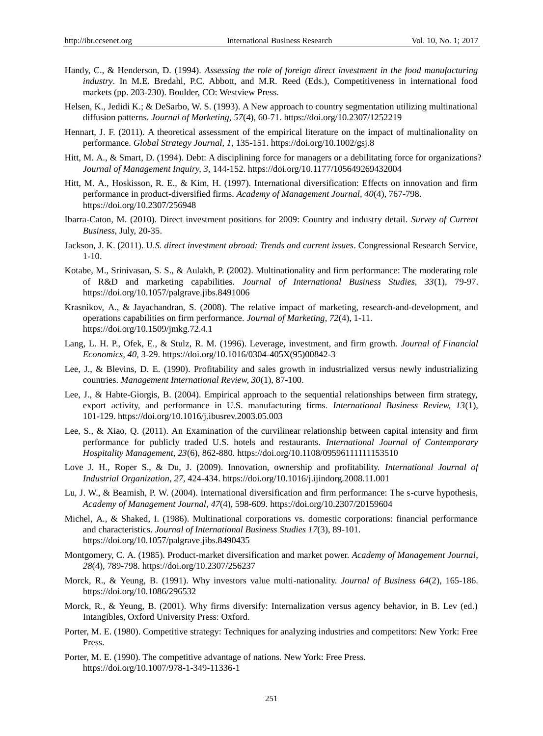- Handy, C., & Henderson, D. (1994). *Assessing the role of foreign direct investment in the food manufacturing industry*. In M.E. Bredahl, P.C. Abbott, and M.R. Reed (Eds.), Competitiveness in international food markets (pp. 203-230). Boulder, CO: Westview Press.
- Helsen, K., Jedidi K.; & DeSarbo, W. S. (1993). A New approach to country segmentation utilizing multinational diffusion patterns. *Journal of Marketing, 57*(4), 60-71[. https://doi.org/10.2307/1252219](https://doi.org/10.2307/1252219)
- Hennart, J. F. (2011). A theoretical assessment of the empirical literature on the impact of multinalionality on performance. *Global Strategy Journal, 1,* 135-151.<https://doi.org/10.1002/gsj.8>
- Hitt, M. A., & Smart, D. (1994). Debt: A disciplining force for managers or a debilitating force for organizations? *Journal of Management Inquiry, 3,* 144-152[. https://doi.org/10.1177/105649269432004](https://doi.org/10.1177/105649269432004)
- Hitt, M. A., Hoskisson, R. E., & Kim, H. (1997). International diversification: Effects on innovation and firm performance in product-diversified firms. *Academy of Management Journal, 40*(4), 767-798. <https://doi.org/10.2307/256948>
- Ibarra-Caton, M. (2010). Direct investment positions for 2009: Country and industry detail. *Survey of Current Business*, July, 20-35.
- Jackson, J. K. (2011). U*.S. direct investment abroad: Trends and current issues*. Congressional Research Service, 1-10.
- Kotabe, M., Srinivasan, S. S., & Aulakh, P. (2002). Multinationality and firm performance: The moderating role of R&D and marketing capabilities. *Journal of International Business Studies, 33*(1), 79-97. <https://doi.org/10.1057/palgrave.jibs.8491006>
- Krasnikov, A., & Jayachandran, S. (2008). The relative impact of marketing, research-and-development, and operations capabilities on firm performance. *Journal of Marketing, 72*(4), 1-11. <https://doi.org/10.1509/jmkg.72.4.1>
- Lang, L. H. P., Ofek, E., & Stulz, R. M. (1996). Leverage, investment, and firm growth. *Journal of Financial Economics, 40,* 3-29. [https://doi.org/10.1016/0304-405X\(95\)00842-3](https://doi.org/10.1016/0304-405X%2895%2900842-3)
- Lee, J., & Blevins, D. E. (1990). Profitability and sales growth in industrialized versus newly industrializing countries. *Management International Review, 30*(1), 87-100.
- Lee, J., & Habte-Giorgis, B. (2004). Empirical approach to the sequential relationships between firm strategy, export activity, and performance in U.S. manufacturing firms. *International Business Review, 13*(1), 101-129.<https://doi.org/10.1016/j.ibusrev.2003.05.003>
- Lee, S., & Xiao, Q. (2011). An Examination of the curvilinear relationship between capital intensity and firm performance for publicly traded U.S. hotels and restaurants. *International Journal of Contemporary Hospitality Management, 23*(6), 862-880.<https://doi.org/10.1108/09596111111153510>
- Love J. H., Roper S., & Du, J. (2009). Innovation, ownership and profitability. *International Journal of Industrial Organization, 27,* 424-434.<https://doi.org/10.1016/j.ijindorg.2008.11.001>
- Lu, J. W., & Beamish, P. W. (2004). International diversification and firm performance: The s-curve hypothesis, *Academy of Management Journal, 47*(4), 598-609.<https://doi.org/10.2307/20159604>
- Michel, A., & Shaked, I. (1986). Multinational corporations vs. domestic corporations: financial performance and characteristics. *Journal of International Business Studies 17*(3), 89-101. <https://doi.org/10.1057/palgrave.jibs.8490435>
- Montgomery, C. A. (1985). Product-market diversification and market power. *Academy of Management Journal*, *28*(4), 789-798.<https://doi.org/10.2307/256237>
- Morck, R., & Yeung, B. (1991). Why investors value multi-nationality. *Journal of Business 64*(2), 165-186. <https://doi.org/10.1086/296532>
- Morck, R., & Yeung, B. (2001). Why firms diversify: Internalization versus agency behavior, in B. Lev (ed.) Intangibles, Oxford University Press: Oxford.
- Porter, M. E. (1980). Competitive strategy: Techniques for analyzing industries and competitors: New York: Free Press.
- Porter, M. E. (1990). The competitive advantage of nations. New York: Free Press. <https://doi.org/10.1007/978-1-349-11336-1>